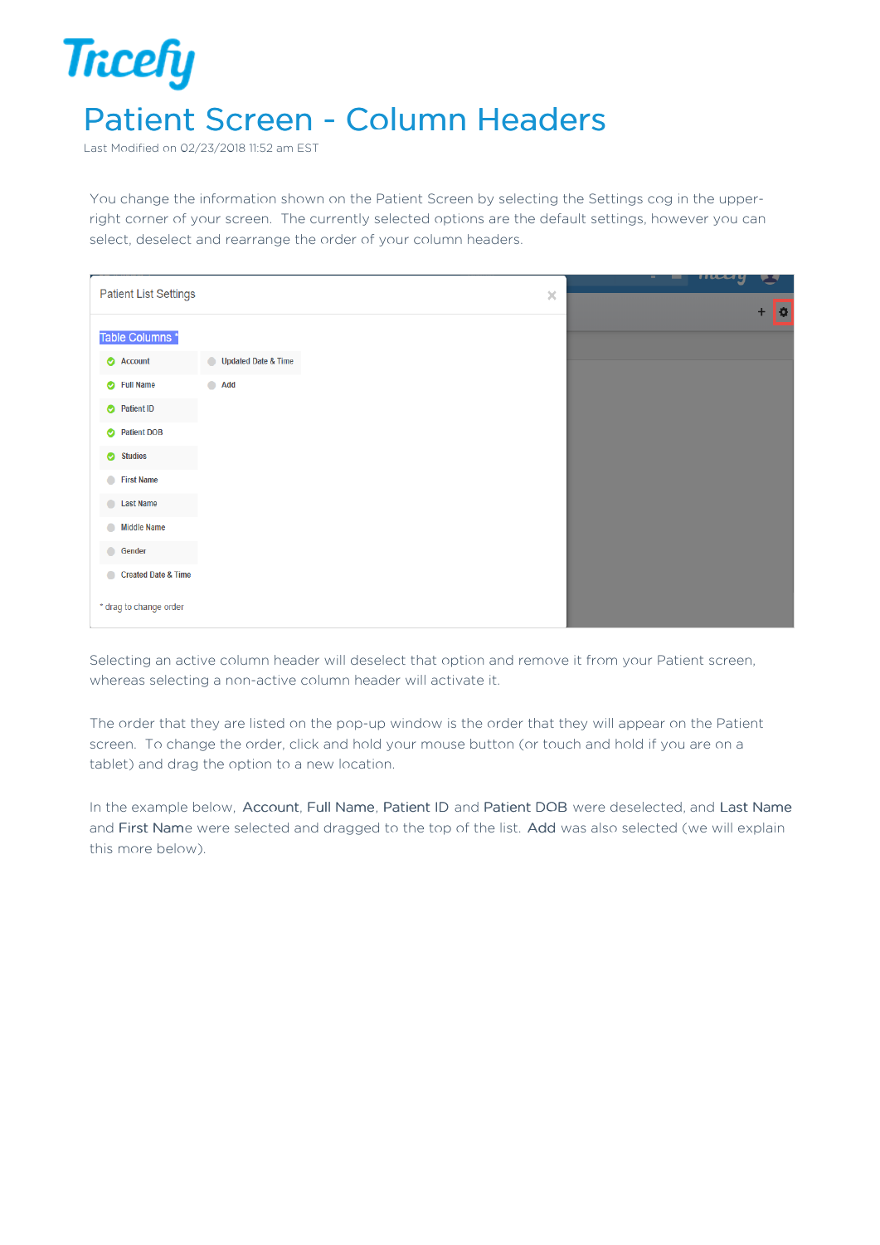## **Tricefy** Patient Screen - Column Headers

Last Modified on 02/23/2018 11:52 am EST

You change the information shown on the Patient Screen by selecting the Settings cog in the upperright corner of your screen. The currently selected options are the default settings, however you can select, deselect and rearrange the order of your column headers.

|                                             |                     |  |          | many   |  |
|---------------------------------------------|---------------------|--|----------|--------|--|
| <b>Patient List Settings</b>                |                     |  | $\times$ | Б<br>٠ |  |
| Table Columns *                             |                     |  |          |        |  |
| Account                                     | Updated Date & Time |  |          |        |  |
| Full Name                                   | $\bigcirc$ Add      |  |          |        |  |
| Patient ID                                  |                     |  |          |        |  |
| <b>Patient DOB</b><br>$\bullet$             |                     |  |          |        |  |
| <b>Studies</b><br>$\bullet$                 |                     |  |          |        |  |
| <b>First Name</b>                           |                     |  |          |        |  |
| C Last Name                                 |                     |  |          |        |  |
| <b>Middle Name</b><br>$\bullet$             |                     |  |          |        |  |
| <b>Gender</b>                               |                     |  |          |        |  |
| <b>Created Date &amp; Time</b><br>$\bullet$ |                     |  |          |        |  |
| * drag to change order                      |                     |  |          |        |  |

Selecting an active column header will deselect that option and remove it from your Patient screen, whereas selecting a non-active column header will activate it.

The order that they are listed on the pop-up window is the order that they will appear on the Patient screen. To change the order, click and hold your mouse button (or touch and hold if you are on a tablet) and drag the option to a new location.

In the example below, Account, Full Name, Patient ID and Patient DOB were deselected, and Last Name and First Name were selected and dragged to the top of the list. Add was also selected (we will explain this more below).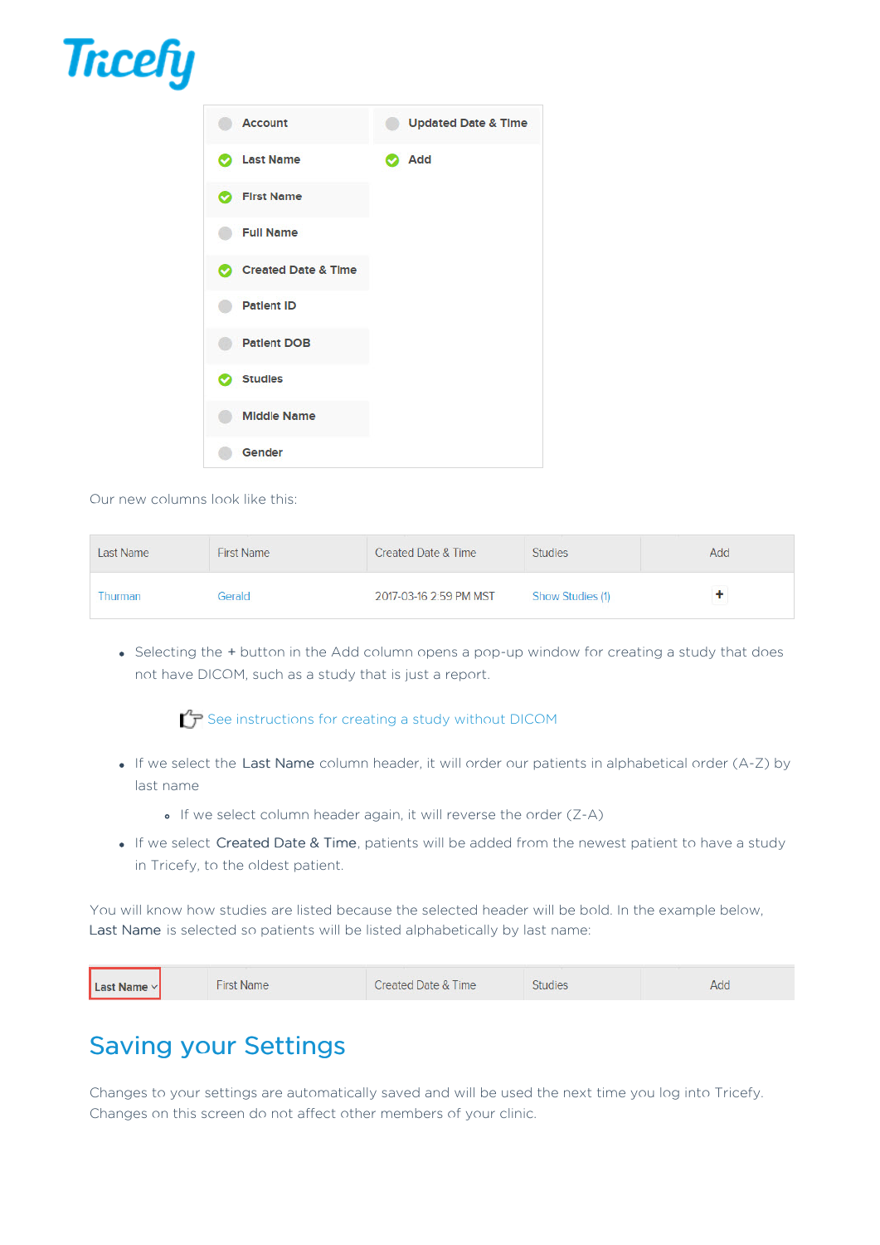## **Tricefy**



Our new columns look like this:

| Last Name | <b>First Name</b> | <b>Created Date &amp; Time</b> | <b>Studies</b>   | Add |
|-----------|-------------------|--------------------------------|------------------|-----|
| Thurman   | Gerald            | 2017-03-16 2:59 PM MST         | Show Studies (1) |     |

• Selecting the + button in the Add column opens a pop-up window for creating a study that does not have DICOM, such as a study that is just a report.

## $\sqrt{T}$  See instructions for creating a study without DICOM

- If we select the Last Name column header, it will order our patients in alphabetical order (A-Z) by last name
	- If we select column header again, it will reverse the order (Z-A)
- . If we select Created Date & Time, patients will be added from the newest patient to have a study in Tricefy, to the oldest patient.

You will know how studies are listed because the selected header will be bold. In the example below, Last Name is selected so patients will be listed alphabetically by last name:

| Created Date & Time<br><b>Last Name</b> $\vee$<br>Name<br>-irst<br>Add<br>tudie<br>__________ |  |  |  |  |  |
|-----------------------------------------------------------------------------------------------|--|--|--|--|--|
|-----------------------------------------------------------------------------------------------|--|--|--|--|--|

## Saving your Settings

Changes to your settings are automatically saved and will be used the next time you log into Tricefy. Changes on this screen do not affect other members of your clinic.